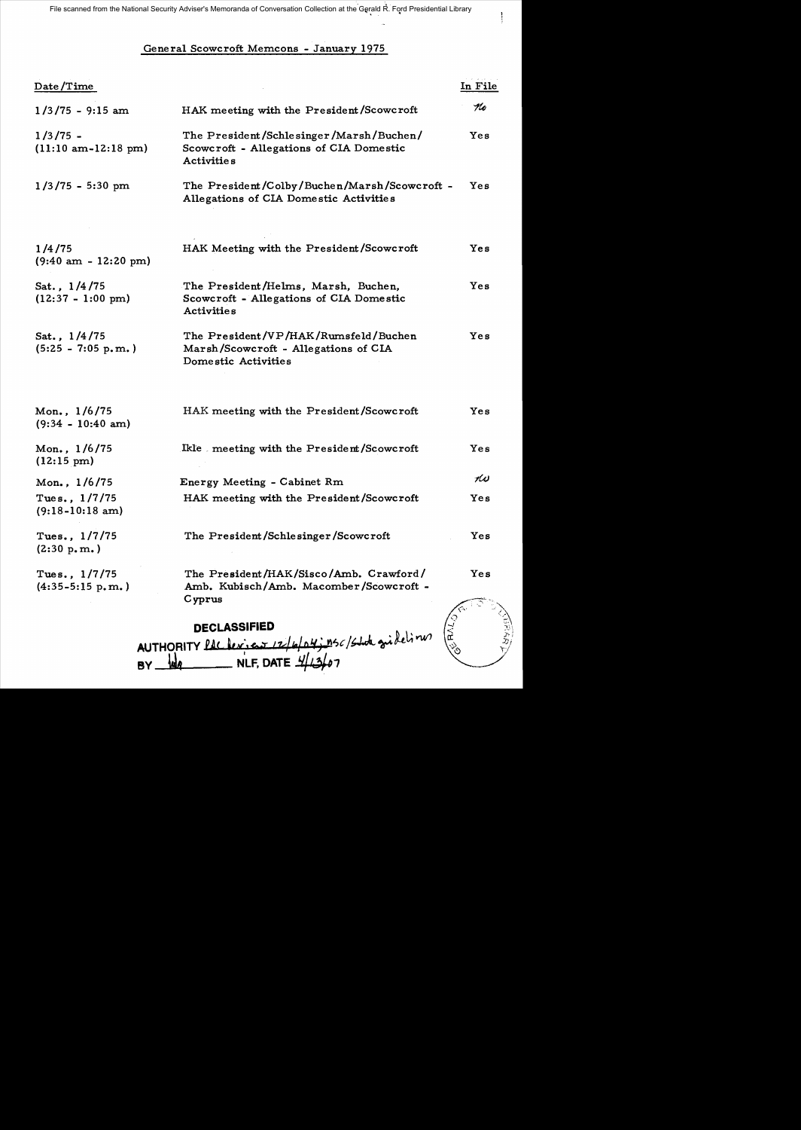File scanned from the National Security Adviser's Memoranda of Conversation Collection at the Gerald R. Ford Presidential Library

 $\begin{array}{c} \rule{0pt}{2.5ex} \rule{0pt}{2.5ex} \rule{0pt}{2.5ex} \rule{0pt}{2.5ex} \rule{0pt}{2.5ex} \rule{0pt}{2.5ex} \rule{0pt}{2.5ex} \rule{0pt}{2.5ex} \rule{0pt}{2.5ex} \rule{0pt}{2.5ex} \rule{0pt}{2.5ex} \rule{0pt}{2.5ex} \rule{0pt}{2.5ex} \rule{0pt}{2.5ex} \rule{0pt}{2.5ex} \rule{0pt}{2.5ex} \rule{0pt}{2.5ex} \rule{0pt}{2.5ex} \rule{0pt}{2.5ex} \rule{0$ 

## General Scowcroft Memcons - January 1975

| Date/Time                                           |                                                                                                         | In File |
|-----------------------------------------------------|---------------------------------------------------------------------------------------------------------|---------|
| $1/3/75 - 9:15$ am                                  | HAK meeting with the President/Scowcroft                                                                | Ko      |
| $1/3/75 -$<br>$(11:10 \text{ am}-12:18 \text{ pm})$ | The President/Schlesinger/Marsh/Buchen/<br>Scowcroft - Allegations of CIA Domestic<br><b>Activities</b> | Yes     |
| $1/3/75 - 5:30$ pm                                  | The President/Colby/Buchen/Marsh/Scowcroft -<br>Allegations of CIA Domestic Activities                  | Yes     |
| 1/4/75<br>$(9:40 \text{ am } -12:20 \text{ pm})$    | HAK Meeting with the President/Scowcroft                                                                | Yes     |
| Sat., 1/4/75<br>$(12:37 - 1:00 \text{ pm})$         | The President/Helms, Marsh, Buchen,<br>Scowcroft - Allegations of CIA Domestic<br><b>Activities</b>     | Yes     |
| Sat., 1/4/75<br>$(5:25 - 7:05 p.m.)$                | The President/VP/HAK/Rumsfeld/Buchen<br>Marsh/Scowcroft - Allegations of CIA<br>Domestic Activities     | Yes     |
| Mon., 1/6/75<br>$(9:34 - 10:40$ am)                 | HAK meeting with the President/Scowcroft                                                                | Yes     |
| Mon., 1/6/75<br>$(12:15 \text{ pm})$                | Ikle meeting with the President/Scowcroft                                                               | Yes     |
| Mon., 1/6/75                                        | Energy Meeting - Cabinet Rm                                                                             | KU      |
| Tues., $1/7/75$<br>$(9:18-10:18 \text{ am})$        | HAK meeting with the President/Scowcroft                                                                | Yes     |
| Tues., 1/7/75<br>(2:30 p.m.)                        | The President/Schlesinger/Scowcroft                                                                     | Yes     |
| Tues., $1/7/75$<br>$(4:35-5:15 p.m. )$              | The President/HAK/Sisco/Amb. Crawford/<br>Amb. Kubisch/Amb. Macomber/Scowcroft -<br>Cyprus              | Yes     |
|                                                     | <b>DECLASSIFIED</b>                                                                                     |         |
|                                                     | 14; nsc/state gridelines<br>AUTHORITY PAC Lexico                                                        |         |

 $BY$   $\frac{1}{4}$  MLF, DATE  $\frac{1}{4}$   $\frac{1}{3}$   $\frac{1}{2}$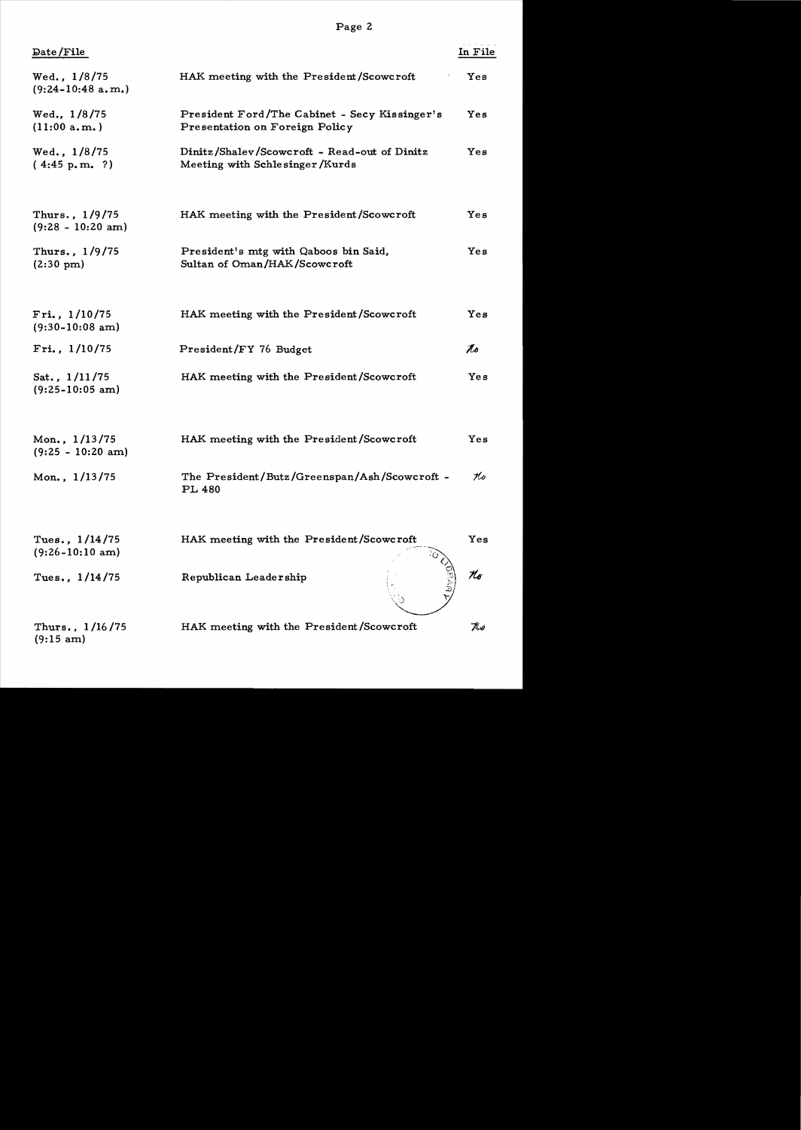Page 2

| in File |  | 1 |  |
|---------|--|---|--|
|         |  |   |  |
|         |  |   |  |

| Date/File                                       |                                                                                 | In Fil |
|-------------------------------------------------|---------------------------------------------------------------------------------|--------|
| Wed., 1/8/75<br>$(9:24-10:48$ a.m.)             | HAK meeting with the President/Scowcroft                                        | Yes    |
| Wed., 1/8/75<br>(11:00 a.m. )                   | President Ford/The Cabinet - Secy Kissinger's<br>Presentation on Foreign Policy | Yes    |
| Wed., $1/8/75$<br>(4.45 p.m. ?)                 | Dinitz/Shalev/Scowcroft - Read-out of Dinitz<br>Meeting with Schlesinger/Kurds  | Yes    |
| Thurs., 1/9/75<br>$(9:28 - 10:20$ am)           | HAK meeting with the President/Scowcroft                                        | Yes    |
| Thurs., 1/9/75<br>$(2:30 \text{ pm})$           | President's mtg with Qaboos bin Said,<br>Sultan of Oman/HAK/Scowcroft           | Yes    |
| $Fri.$ , $1/10/75$<br>$(9:30-10:08 \text{ am})$ | HAK meeting with the President/Scowcroft                                        | Yes    |
| Fig. 1/10/75                                    | President/FY 76 Budget                                                          | 1s     |
| Sat., $1/11/75$<br>$(9:25-10:05~am)$            | HAK meeting with the President/Scowcroft                                        | Yes    |
| Mon., 1/13/75<br>$(9:25 - 10:20$ am)            | HAK meeting with the President/Scowcroft                                        | Yes    |
| Mon., 1/13/75                                   | The President/Butz/Greenspan/Ash/Scowcroft -<br>PL 480                          | Ko     |
| Tues., $1/14/75$<br>$(9:26-10:10~\text{am})$    | HAK meeting with the President/Scowcroft                                        | Yes    |
| Tues., $1/14/75$                                | Republican Leadership                                                           | Ko     |
| Thurs., $1/16/75$<br>$(9:15~\text{am})$         | HAK meeting with the President/Scowcroft                                        | Thu)   |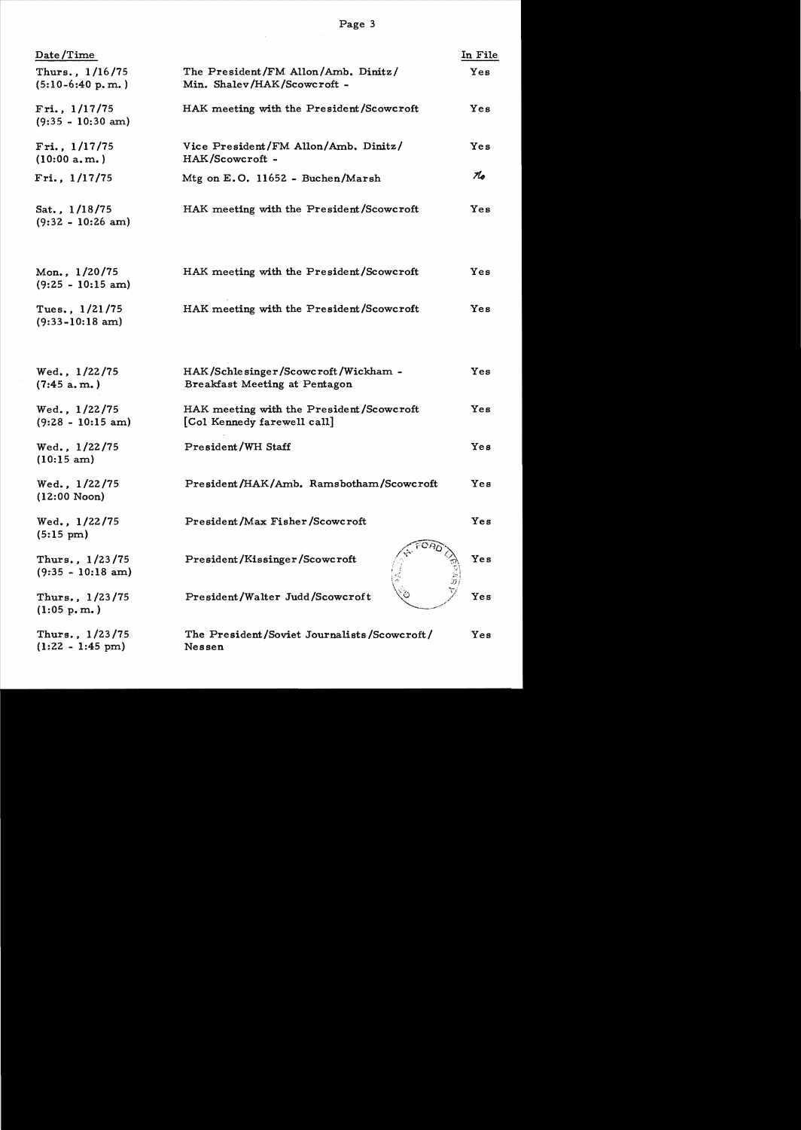| Date/Time                                     |                                                                         | In File |
|-----------------------------------------------|-------------------------------------------------------------------------|---------|
| Thurs., 1/16/75<br>$(5:10-6:40 p.m.)$         | The President/FM Allon/Amb. Dinitz/<br>Min. Shalev/HAK/Scowcroft -      | Yes     |
| Fri., $1/17/75$<br>$(9:35 - 10:30$ am)        | HAK meeting with the President/Scowcroft                                | Yes     |
| Fri., $1/17/75$<br>(10:00 a.m.)               | Vice President/FM Allon/Amb. Dinitz/<br>HAK/Scowcroft -                 | Yes     |
| Fri., $1/17/75$                               | Mtg on $E. O. 11652 - Buchen/Marsh$                                     | 16      |
| Sat., 1/18/75<br>$(9:32 - 10:26$ am)          | HAK meeting with the President/Scowcroft                                | Yes     |
| Mon., 1/20/75<br>$(9:25 - 10:15 am)$          | HAK meeting with the President/Scowcroft                                | Yes     |
| Tues., $1/21/75$<br>$(9:33-10:18 \text{ am})$ | HAK meeting with the President/Scowcroft                                | Yes     |
| Wed., 1/22/75<br>(7:45 a.m.)                  | HAK/Schlesinger/Scowcroft/Wickham -<br>Breakfast Meeting at Pentagon    | Yes     |
| Wed., 1/22/75<br>$(9:28 - 10:15 \text{ am})$  | HAK meeting with the President/Scowcroft<br>[Col Kennedy farewell call] | Yes     |
| Wed., 1/22/75<br>$(10:15~\text{am})$          | President/WH Staff                                                      | Yes     |
| Wed., 1/22/75<br>$(12:00\text{ Noon})$        | President/HAK/Amb. Ramsbotham/Scowcroft                                 | Yes     |
| Wed., 1/22/75<br>$(5:15 \text{ pm})$          | President/Max Fisher/Scowcroft                                          | Yes     |
| Thurs., 1/23/75<br>$(9:35 - 10:18$ am)        | President/Kissinger/Scowcroft                                           | Yes     |
| Thurs., 1/23/75<br>$(1:05 \text{ p.m.})$      | President/Walter Judd/Scowcroft                                         | Yes     |
| Thurs., 1/23/75<br>$(1:22 - 1:45 \text{ pm})$ | The President/Soviet Journalists/Scowcroft/<br>Nessen                   | Yes     |

 $\label{eq:2.1} \frac{1}{\sqrt{2\pi}}\int_{0}^{\infty} \frac{1}{\sqrt{2\pi}}\left(\frac{1}{\sqrt{2\pi}}\right)^{2\alpha} \frac{1}{\sqrt{2\pi}}\left(\frac{1}{\sqrt{2\pi}}\right)^{\alpha} \frac{1}{\sqrt{2\pi}}\left(\frac{1}{\sqrt{2\pi}}\right)^{\alpha} \frac{1}{\sqrt{2\pi}}\left(\frac{1}{\sqrt{2\pi}}\right)^{\alpha} \frac{1}{\sqrt{2\pi}}\left(\frac{1}{\sqrt{2\pi}}\right)^{\alpha} \frac{1}{\sqrt{2\pi}}\left(\frac{1}{\sqrt{2\pi}}\$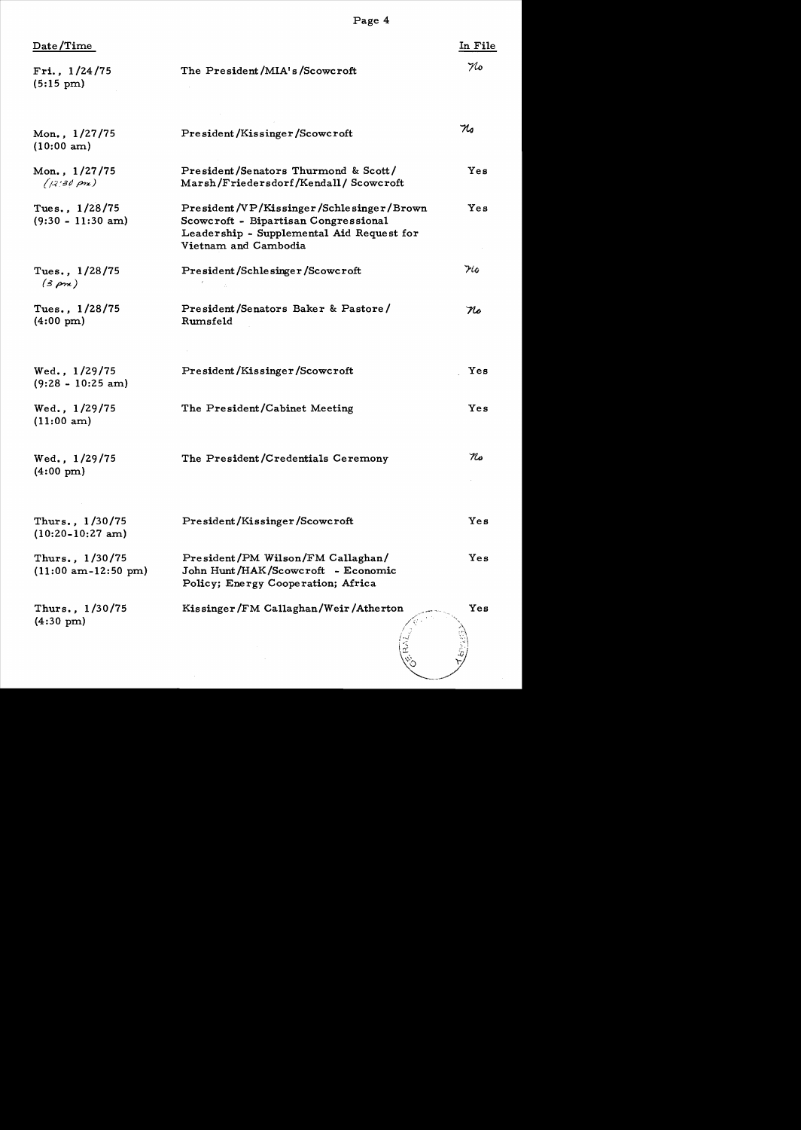| $\mathtt{Date}/\mathtt{Time}$                 |                                                                                                                                                       | In File           |
|-----------------------------------------------|-------------------------------------------------------------------------------------------------------------------------------------------------------|-------------------|
| Fri., 1/24/75<br>$(5:15 \text{ pm})$          | The President/MIA's/Scowcroft                                                                                                                         | No                |
| <b>Mon., 1/27/75</b><br>(10:00 am)            | President/Kissinger/Scowcroft                                                                                                                         | $\mathcal{H}_{o}$ |
| Mon., 1/27/75<br>$(12, 30 \text{ pr})$        | President/Senators Thurmond & Scott/<br>Marsh/Friedersdorf/Kendall/Scowcroft                                                                          | Yes               |
| Tues., 1/28/75<br>$(9:30 - 11:30$ am)         | President/VP/Kissinger/Schlesinger/Brown<br>Scowcroft - Bipartisan Congressional<br>Leadership - Supplemental Aid Request for<br>Vietnam and Cambodia | Yes               |
| Tues., 1/28/75<br>$(3 \rho m)$                | President/Schlesinger/Scowcroft                                                                                                                       | $7\omega$         |
| Tues., 1/28/75<br>$(4:00 \text{ pm})$         | President/Senators Baker & Pastore/<br>Rumsfeld                                                                                                       | No                |
| Wed., 1/29/75<br>$(9:28 - 10:25$ am)          | President/Kissinger/Scowcroft                                                                                                                         | Yes               |
| Wed., 1/29/75<br>(11:00 am)                   | The President/Cabinet Meeting                                                                                                                         | Yes               |
| Wed., 1/29/75<br>$(4:00 \text{ pm})$          | The President/Credentials Ceremony                                                                                                                    | No                |
| Thurs., 1/30/75<br>$(10:20-10:27 \text{ am})$ | President/Kissinger/Scowcroft                                                                                                                         | Yes               |
| Thurs., 1/30/75<br>$(11:00$ am-12:50 pm)      | President/PM Wilson/FM Callaghan/<br>John Hunt/HAK/Scowcroft - Economic<br>Policy; Energy Cooperation; Africa                                         | Yes               |
| Thurs., 1/30/75<br>$(4:30 \text{ pm})$        | Kissinger/FM Callaghan/Weir/Atherton                                                                                                                  | Yes               |
|                                               |                                                                                                                                                       |                   |

Page 4

 $\sim$